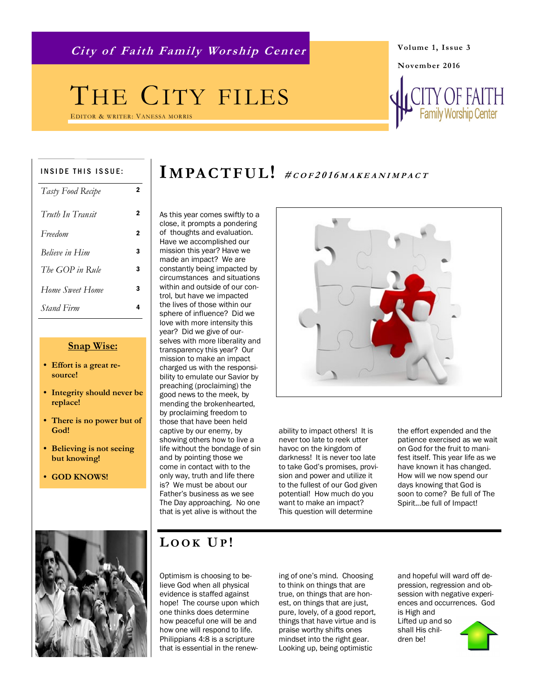**City of Faith Family Wor ship Center**

## THE CITY FILES

EDITOR & WRITER: VANESSA MORRIS

#### INSIDE THIS ISSUE:

| Tasty Food Recipe | 2 |
|-------------------|---|
| Truth In Transit  | 2 |
| Freedom           | 2 |
| Believe in Him    | 3 |
| The GOP in Rule   | 3 |
| Home Sweet Home   | 3 |
| <i>Stand Firm</i> | 4 |

#### **Snap Wise:**

- **Effort is a great resource!**
- **Integrity should never be replace!**
- **There is no power but of God!**
- **Believing is not seeing but knowing!**
- **GOD KNOWS!**

## IMPACTFUL! #COF2016MAKEANIMPACT

As this year comes swiftly to a close, it prompts a pondering of thoughts and evaluation. Have we accomplished our mission this year? Have we made an impact? We are constantly being impacted by circumstances and situations within and outside of our control, but have we impacted the lives of those within our sphere of influence? Did we love with more intensity this year? Did we give of ourselves with more liberality and transparency this year? Our mission to make an impact charged us with the responsibility to emulate our Savior by preaching (proclaiming) the good news to the meek, by mending the brokenhearted, by proclaiming freedom to those that have been held captive by our enemy, by showing others how to live a life without the bondage of sin and by pointing those we come in contact with to the only way, truth and life there is? We must be about our Father's business as we see The Day approaching. No one that is yet alive is without the

ability to impact others! It is never too late to reek utter havoc on the kingdom of darkness! It is never too late to take God's promises, provision and power and utilize it to the fullest of our God given potential! How much do you want to make an impact? This question will determine

the effort expended and the patience exercised as we wait on God for the fruit to manifest itself. This year life as we have known it has changed. How will we now spend our days knowing that God is soon to come? Be full of The Spirit...be full of Impact!



#### **L OOK UP !**

Optimism is choosing to believe God when all physical evidence is staffed against hope! The course upon which one thinks does determine how peaceful one will be and how one will respond to life. Philippians 4:8 is a scripture that is essential in the renewing of one's mind. Choosing to think on things that are true, on things that are honest, on things that are just, pure, lovely, of a good report, things that have virtue and is praise worthy shifts ones mindset into the right gear. Looking up, being optimistic

and hopeful will ward off depression, regression and obsession with negative experiences and occurrences. God is High and Lifted up and so shall His children be!



**Volume 1, Issue 3**

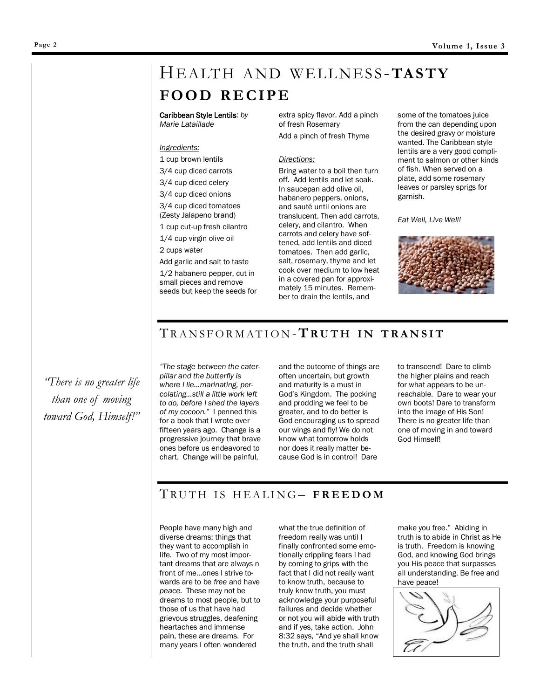## HE ALT H A ND W EL L NES S -**TAS TY FO O D RE C IPE**

Caribbean Style Lentils: *by Marie Lataillade*

#### *Ingredients:*

1 cup brown lentils

3/4 cup diced carrots

3/4 cup diced celery

3/4 cup diced onions 3/4 cup diced tomatoes (Zesty Jalapeno brand)

1 cup cut-up fresh cilantro

1/4 cup virgin olive oil

2 cups water

Add garlic and salt to taste

1/2 habanero pepper, cut in small pieces and remove seeds but keep the seeds for extra spicy flavor. Add a pinch of fresh Rosemary Add a pinch of fresh Thyme

#### *Directions:*

Bring water to a boil then turn off. Add lentils and let soak. In saucepan add olive oil, habanero peppers, onions, and sauté until onions are translucent. Then add carrots, celery, and cilantro. When carrots and celery have softened, add lentils and diced tomatoes. Then add garlic, salt, rosemary, thyme and let cook over medium to low heat in a covered pan for approximately 15 minutes. Remember to drain the lentils, and

some of the tomatoes juice from the can depending upon the desired gravy or moisture wanted. The Caribbean style lentils are a very good compliment to salmon or other kinds of fish. When served on a plate, add some rosemary leaves or parsley sprigs for garnish.

*Eat Well, Live Well!* 



#### T R A N S F O R M A T I O N -**T R U T H I N T R A N S I T**

*"There is no greater life than one of moving toward God, Himself!"*

*"The stage between the caterpillar and the butterfly is where I lie...marinating, percolating...still a little work left to do, before I shed the layers of my cocoon."* I penned this for a book that I wrote over fifteen years ago. Change is a progressive journey that brave ones before us endeavored to chart. Change will be painful,

and the outcome of things are often uncertain, but growth and maturity is a must in God's Kingdom. The pocking and prodding we feel to be greater, and to do better is God encouraging us to spread our wings and fly! We do not know what tomorrow holds nor does it really matter because God is in control! Dare

to transcend! Dare to climb the higher plains and reach for what appears to be unreachable. Dare to wear your own boots! Dare to transform into the image of His Son! There is no greater life than one of moving in and toward God Himself!

#### TRUTH IS HEALING- FREEDOM

People have many high and diverse dreams; things that they want to accomplish in life. Two of my most important dreams that are always n front of me...ones I strive towards are to be *free* and have *peace*. These may not be dreams to most people, but to those of us that have had grievous struggles, deafening heartaches and immense pain, these are dreams. For many years I often wondered

what the true definition of freedom really was until I finally confronted some emotionally crippling fears I had by coming to grips with the fact that I did not really want to know truth, because to truly know truth, you must acknowledge your purposeful failures and decide whether or not you will abide with truth and if yes, take action. John 8:32 says, "And ye shall know the truth, and the truth shall

make you free." Abiding in truth is to abide in Christ as He is truth. Freedom is knowing God, and knowing God brings you His peace that surpasses all understanding. Be free and have peace!

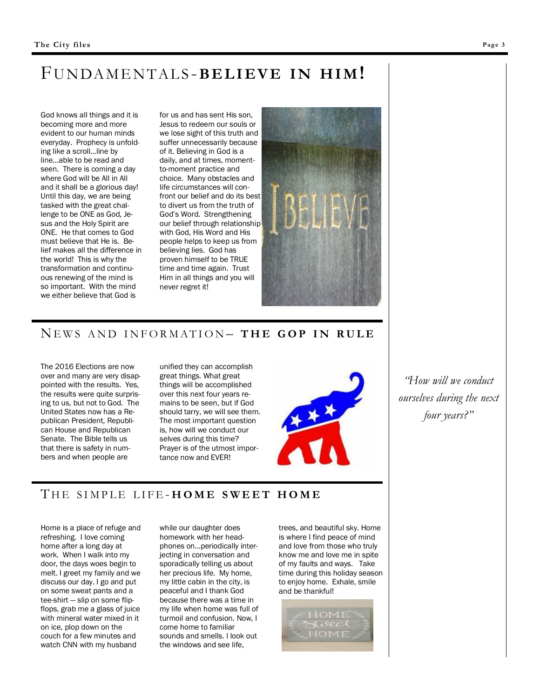### FU N DA M E N TAL S -**BE L I E V E IN HI M!**

God knows all things and it is becoming more and more evident to our human minds everyday. Prophecy is unfolding like a scroll...line by line...able to be read and seen. There is coming a day where God will be All in All and it shall be a glorious day! Until this day, we are being tasked with the great challenge to be ONE as God, Jesus and the Holy Spirit are ONE. He that comes to God must believe that He is. Belief makes all the difference in the world! This is why the transformation and continuous renewing of the mind is so important. With the mind we either believe that God is

for us and has sent His son, Jesus to redeem our souls or we lose sight of this truth and suffer unnecessarily because of it. Believing in God is a daily, and at times, momentto-moment practice and choice. Many obstacles and life circumstances will confront our belief and do its best to divert us from the truth of God's Word. Strengthening our belief through relationship with God, His Word and His people helps to keep us from believing lies. God has proven himself to be TRUE time and time again. Trust Him in all things and you will never regret it!



#### NE W S A N D I N F O R M A T I O N – **T H E G O P I N R U L E**

The 2016 Elections are now over and many are very disappointed with the results. Yes, the results were quite surprising to us, but not to God. The United States now has a Republican President, Republican House and Republican Senate. The Bible tells us that there is safety in numbers and when people are

unified they can accomplish great things. What great things will be accomplished over this next four years remains to be seen, but if God should tarry, we will see them. The most important question is, how will we conduct our selves during this time? Prayer is of the utmost importance now and EVER!



*"How will we conduct ourselves during the next four years?"*

#### THE SIMPLE LIFE-HOME SWEET HOME

Home is a place of refuge and refreshing. I love coming home after a long day at work. When I walk into my door, the days woes begin to melt. I greet my family and we discuss our day. I go and put on some sweat pants and a tee-shirt — slip on some flipflops, grab me a glass of juice with mineral water mixed in it on ice, plop down on the couch for a few minutes and watch CNN with my husband

while our daughter does homework with her headphones on...periodically interjecting in conversation and sporadically telling us about her precious life. My home, my little cabin in the city, is peaceful and I thank God because there was a time in my life when home was full of turmoil and confusion. Now, I come home to familiar sounds and smells. l look out the windows and see life,

trees, and beautiful sky. Home is where I find peace of mind and love from those who truly know me and love me in spite of my faults and ways. Take time during this holiday season to enjoy home. Exhale, smile and be thankful!